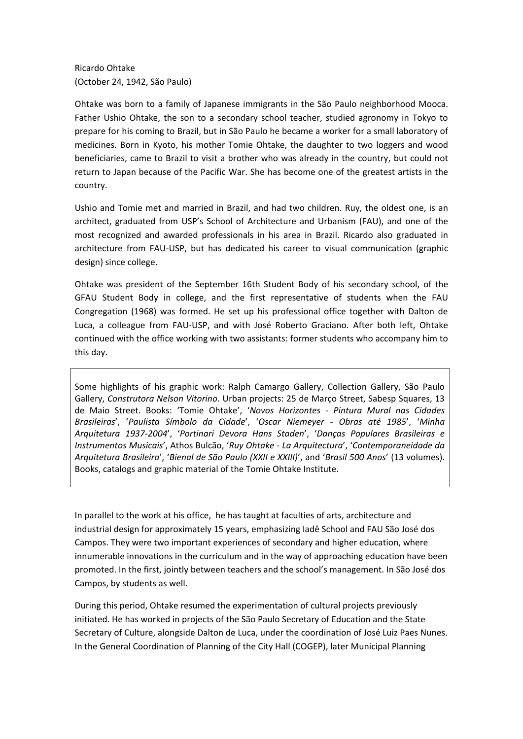Ricardo Ohtake (October 24, 1942, São Paulo)

Ohtake was born to a family of Japanese immigrants in the São Paulo neighborhood Mooca. Father Ushio Ohtake, the son to a secondary school teacher, studied agronomy in Tokyo to prepare for his coming to Brazil, but in São Paulo he became a worker for a small laboratory of medicines. Born in Kyoto, his mother Tomie Ohtake, the daughter to two loggers and wood beneficiaries, came to Brazil to visit a brother who was already in the country, but could not return to Japan because of the Pacific War. She has become one of the greatest artists in the country.

Ushio and Tomie met and married in Brazil, and had two children. Ruy, the oldest one, is an architect, graduated from USP's School of Architecture and Urbanism (FAU), and one of the most recognized and awarded professionals in his area in Brazil. Ricardo also graduated in architecture from FAU-USP, but has dedicated his career to visual communication (graphic design) since college.

Ohtake was president of the September 16th Student Body of his secondary school, of the GFAU Student Body in college, and the first representative of students when the FAU Congregation (1968) was formed. He set up his professional office together with Dalton de Luca, a colleague from FAU-USP, and with José Roberto Graciano. After both left, Ohtake continued with the office working with two assistants: former students who accompany him to this day.

Some highlights of his graphic work: Ralph Camargo Gallery, Collection Gallery, São Paulo Gallery, *Construtora Nelson Vitorino*. Urban projects: 25 de Março Street, Sabesp Squares, 13 de Maio Street. Books: 'Tomie Ohtake', '*Novos Horizontes - Pintura Mural nas Cidades Brasileiras*', '*Paulista Símbolo da Cidade*', '*Oscar Niemeyer - Obras até 1985*', '*Minha Arquitetura 1937-2004*', '*Portinari Devora Hans Staden*', '*Danças Populares Brasileiras e Instrumentos Musicais*', Athos Bulcão, '*Ruy Ohtake - La Arquitectura*', '*Contemporaneidade da Arquitetura Brasileira*', '*Bienal de São Paulo (XXII e XXIII)*', and '*Brasil 500 Anos*' (13 volumes). Books, catalogs and graphic material of the Tomie Ohtake Institute.

In parallel to the work at his office, he has taught at faculties of arts, architecture and industrial design for approximately 15 years, emphasizing Iadê School and FAU São José dos Campos. They were two important experiences of secondary and higher education, where innumerable innovations in the curriculum and in the way of approaching education have been promoted. In the first, jointly between teachers and the school's management. In São José dos Campos, by students as well.

During this period, Ohtake resumed the experimentation of cultural projects previously initiated. He has worked in projects of the São Paulo Secretary of Education and the State Secretary of Culture, alongside Dalton de Luca, under the coordination of José Luiz Paes Nunes. In the General Coordination of Planning of the City Hall (COGEP), later Municipal Planning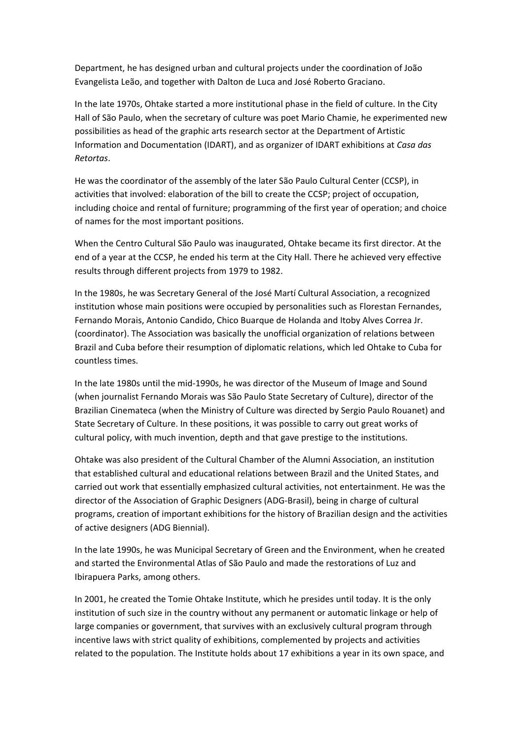Department, he has designed urban and cultural projects under the coordination of João Evangelista Leão, and together with Dalton de Luca and José Roberto Graciano.

In the late 1970s, Ohtake started a more institutional phase in the field of culture. In the City Hall of São Paulo, when the secretary of culture was poet Mario Chamie, he experimented new possibilities as head of the graphic arts research sector at the Department of Artistic Information and Documentation (IDART), and as organizer of IDART exhibitions at *Casa das Retortas*.

He was the coordinator of the assembly of the later São Paulo Cultural Center (CCSP), in activities that involved: elaboration of the bill to create the CCSP; project of occupation, including choice and rental of furniture; programming of the first year of operation; and choice of names for the most important positions.

When the Centro Cultural São Paulo was inaugurated, Ohtake became its first director. At the end of a year at the CCSP, he ended his term at the City Hall. There he achieved very effective results through different projects from 1979 to 1982.

In the 1980s, he was Secretary General of the José Martí Cultural Association, a recognized institution whose main positions were occupied by personalities such as Florestan Fernandes, Fernando Morais, Antonio Candido, Chico Buarque de Holanda and Itoby Alves Correa Jr. (coordinator). The Association was basically the unofficial organization of relations between Brazil and Cuba before their resumption of diplomatic relations, which led Ohtake to Cuba for countless times.

In the late 1980s until the mid-1990s, he was director of the Museum of Image and Sound (when journalist Fernando Morais was São Paulo State Secretary of Culture), director of the Brazilian Cinemateca (when the Ministry of Culture was directed by Sergio Paulo Rouanet) and State Secretary of Culture. In these positions, it was possible to carry out great works of cultural policy, with much invention, depth and that gave prestige to the institutions.

Ohtake was also president of the Cultural Chamber of the Alumni Association, an institution that established cultural and educational relations between Brazil and the United States, and carried out work that essentially emphasized cultural activities, not entertainment. He was the director of the Association of Graphic Designers (ADG-Brasil), being in charge of cultural programs, creation of important exhibitions for the history of Brazilian design and the activities of active designers (ADG Biennial).

In the late 1990s, he was Municipal Secretary of Green and the Environment, when he created and started the Environmental Atlas of São Paulo and made the restorations of Luz and Ibirapuera Parks, among others.

In 2001, he created the Tomie Ohtake Institute, which he presides until today. It is the only institution of such size in the country without any permanent or automatic linkage or help of large companies or government, that survives with an exclusively cultural program through incentive laws with strict quality of exhibitions, complemented by projects and activities related to the population. The Institute holds about 17 exhibitions a year in its own space, and